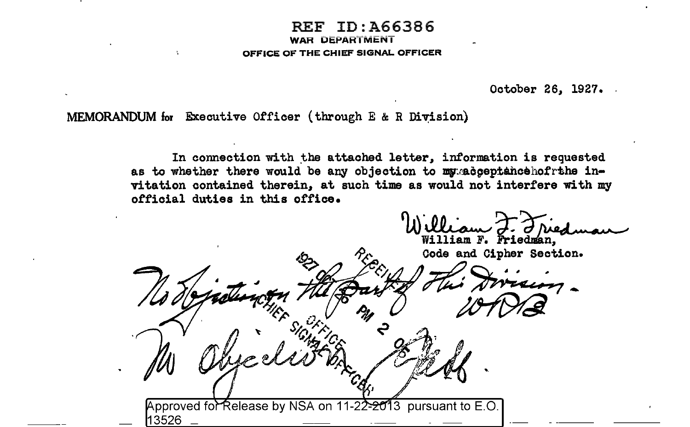## REF ID:A66386 WAR DEPARTMENT OFFICE OF THE CHIEF SIGNAL OFFICER

October 26, 1927. .

MEMORANDUM for Executive Officer (through E & R Division)

In connection with the attached letter, information is requested as to whether there would be any objection to my:edgeptancehofrthe invitation contained therein, at such time as would not interfere with my official duties in this office •

William F. Friedman, Code and Cipher Section. . ) Approved for Release by NSA on 11-22-2013 pursuant to E.O. 13526